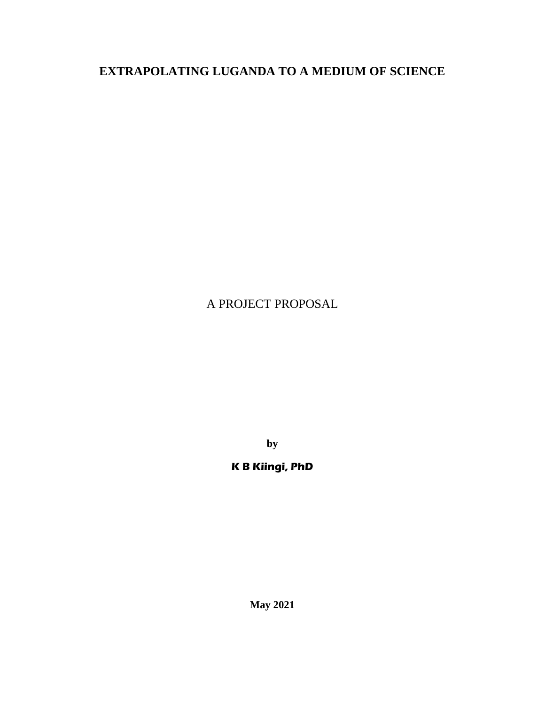# **EXTRAPOLATING LUGANDA TO A MEDIUM OF SCIENCE**

# A PROJECT PROPOSAL

**by** 

# **K B Kiingi, PhD**

**May 2021**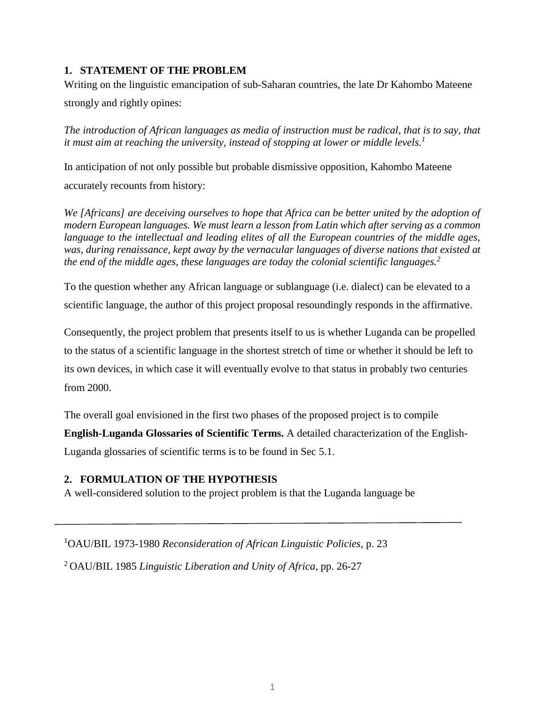## **1. STATEMENT OF THE PROBLEM**

Writing on the linguistic emancipation of sub-Saharan countries, the late Dr Kahombo Mateene strongly and rightly opines:

*The introduction of African languages as media of instruction must be radical, that is to say, that it must aim at reaching the university, instead of stopping at lower or middle levels.<sup>1</sup>*

In anticipation of not only possible but probable dismissive opposition, Kahombo Mateene accurately recounts from history:

*We [Africans] are deceiving ourselves to hope that Africa can be better united by the adoption of modern European languages. We must learn a lesson from Latin which after serving as a common*  language to the intellectual and leading elites of all the European countries of the middle ages, *was, during renaissance, kept away by the vernacular languages of diverse nations that existed at the end of the middle ages, these languages are today the colonial scientific languages.<sup>2</sup>*

To the question whether any African language or sublanguage (i.e. dialect) can be elevated to a scientific language, the author of this project proposal resoundingly responds in the affirmative.

Consequently, the project problem that presents itself to us is whether Luganda can be propelled to the status of a scientific language in the shortest stretch of time or whether it should be left to its own devices, in which case it will eventually evolve to that status in probably two centuries from 2000.

The overall goal envisioned in the first two phases of the proposed project is to compile **English-Luganda Glossaries of Scientific Terms.** A detailed characterization of the English-Luganda glossaries of scientific terms is to be found in Sec 5.1.

## **2. FORMULATION OF THE HYPOTHESIS**

A well-considered solution to the project problem is that the Luganda language be

<sup>1</sup>OAU/BIL 1973-1980 *Reconsideration of African Linguistic Policies,* p. 23

<sup>2</sup>OAU/BIL 1985 *Linguistic Liberation and Unity of Africa*, pp. 26-27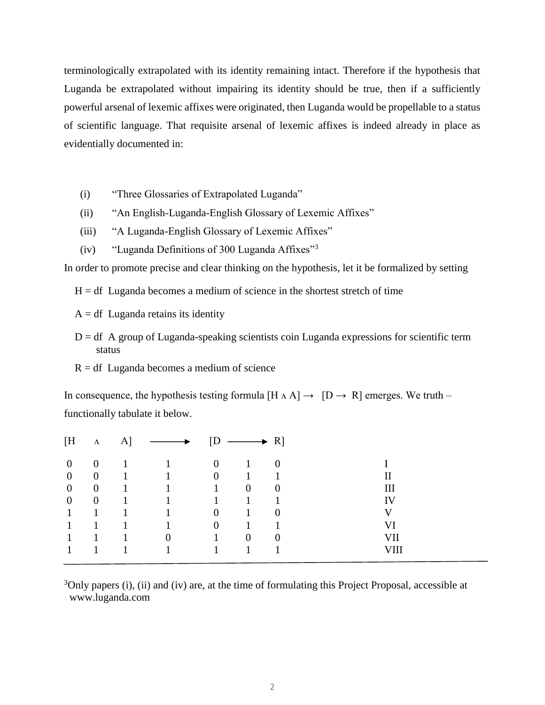terminologically extrapolated with its identity remaining intact. Therefore if the hypothesis that Luganda be extrapolated without impairing its identity should be true, then if a sufficiently powerful arsenal of lexemic affixes were originated, then Luganda would be propellable to a status of scientific language. That requisite arsenal of lexemic affixes is indeed already in place as evidentially documented in:

- (i) "Three Glossaries of Extrapolated Luganda"
- (ii) "An English-Luganda-English Glossary of Lexemic Affixes"
- (iii) "A Luganda-English Glossary of Lexemic Affixes"
- (iv) "Luganda Definitions of 300 Luganda Affixes"<sup>3</sup>

In order to promote precise and clear thinking on the hypothesis, let it be formalized by setting

 $H = df$  Luganda becomes a medium of science in the shortest stretch of time

- $A = df$  Luganda retains its identity
- $D = df$  A group of Luganda-speaking scientists coin Luganda expressions for scientific term status
- $R = df$  Luganda becomes a medium of science

In consequence, the hypothesis testing formula  $[H \wedge A] \rightarrow [D \rightarrow R]$  emerges. We truth – functionally tabulate it below.

| [H               | $\Lambda$        | $\mathbf{A}$ | $\longrightarrow$ | D              | $\longrightarrow R$ |          |    |
|------------------|------------------|--------------|-------------------|----------------|---------------------|----------|----|
| $\boldsymbol{0}$ | $\boldsymbol{0}$ |              |                   | $\overline{0}$ |                     |          |    |
| $\overline{0}$   | $\overline{0}$   | 1            |                   | $\overline{0}$ |                     |          |    |
| $\boldsymbol{0}$ | $\overline{0}$   | 1            |                   | 1              | $\overline{0}$      | $\theta$ |    |
| $\overline{0}$   | $\overline{0}$   |              |                   |                |                     |          | IV |
|                  | 1                |              |                   | $\theta$       |                     | $\Omega$ | V  |
|                  |                  |              |                   | 0              |                     |          | VI |
|                  | 1                |              | $\boldsymbol{0}$  | $\mathbf{1}$   | $\overline{0}$      | $\Omega$ | VП |
|                  | 1                |              |                   |                |                     |          |    |
|                  |                  |              |                   |                |                     |          |    |

 $3$ Only papers (i), (ii) and (iv) are, at the time of formulating this Project Proposal, accessible at www.luganda.com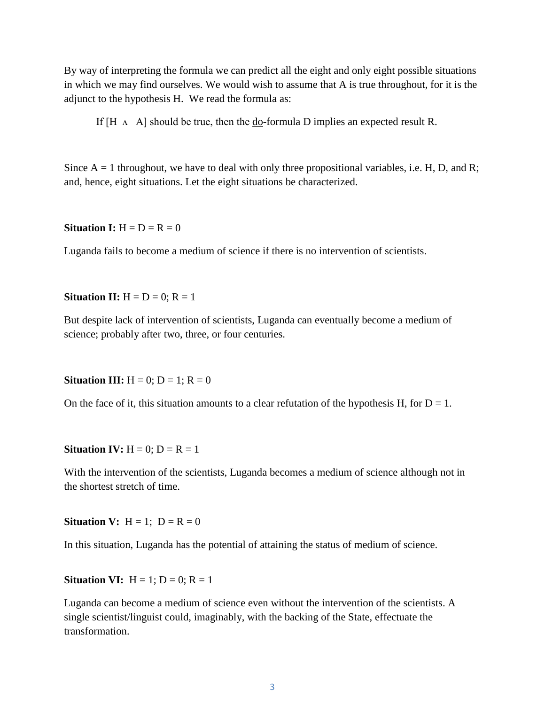By way of interpreting the formula we can predict all the eight and only eight possible situations in which we may find ourselves. We would wish to assume that A is true throughout, for it is the adjunct to the hypothesis H. We read the formula as:

If  $[H \wedge A]$  should be true, then the do-formula D implies an expected result R.

Since  $A = 1$  throughout, we have to deal with only three propositional variables, i.e. H, D, and R; and, hence, eight situations. Let the eight situations be characterized.

#### **Situation I:**  $H = D = R = 0$

Luganda fails to become a medium of science if there is no intervention of scientists.

**Situation II:**  $H = D = 0$ ;  $R = 1$ 

But despite lack of intervention of scientists, Luganda can eventually become a medium of science; probably after two, three, or four centuries.

**Situation III:**  $H = 0$ ;  $D = 1$ ;  $R = 0$ 

On the face of it, this situation amounts to a clear refutation of the hypothesis H, for  $D = 1$ .

#### **Situation IV:**  $H = 0$ ;  $D = R = 1$

With the intervention of the scientists, Luganda becomes a medium of science although not in the shortest stretch of time.

**Situation V:**  $H = 1$ ;  $D = R = 0$ 

In this situation, Luganda has the potential of attaining the status of medium of science.

**Situation VI:**  $H = 1$ ;  $D = 0$ ;  $R = 1$ 

Luganda can become a medium of science even without the intervention of the scientists. A single scientist/linguist could, imaginably, with the backing of the State, effectuate the transformation.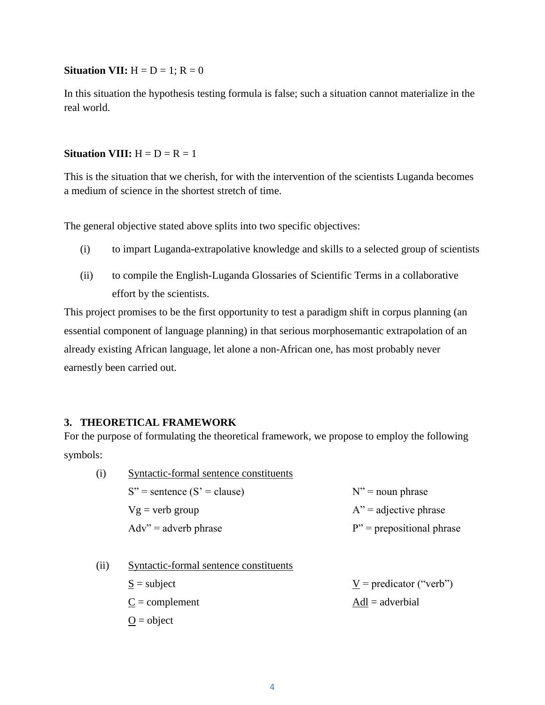#### **Situation VII:**  $H = D = 1$ ;  $R = 0$

In this situation the hypothesis testing formula is false; such a situation cannot materialize in the real world.

#### **Situation VIII:**  $H = D = R = 1$

This is the situation that we cherish, for with the intervention of the scientists Luganda becomes a medium of science in the shortest stretch of time.

The general objective stated above splits into two specific objectives:

- (i) to impart Luganda-extrapolative knowledge and skills to a selected group of scientists
- (ii) to compile the English-Luganda Glossaries of Scientific Terms in a collaborative effort by the scientists.

This project promises to be the first opportunity to test a paradigm shift in corpus planning (an essential component of language planning) in that serious morphosemantic extrapolation of an already existing African language, let alone a non-African one, has most probably never earnestly been carried out.

### **3. THEORETICAL FRAMEWORK**

For the purpose of formulating the theoretical framework, we propose to employ the following symbols:

- (i) Syntactic-formal sentence constituents  $S''$  = sentence  $(S' = \text{clause})$   $N'' = \text{noun phrase}$  $Vg =$  verb group  $A'' =$  adjective phrase  $Adv'' = adverb phrase$  P" = prepositional phrase
- (ii) Syntactic-formal sentence constituents  $S = \text{subject}$   $V = \text{predict}(S \cup V)$  $C =$  complement  $Adl =$  adverbial  $Q = object$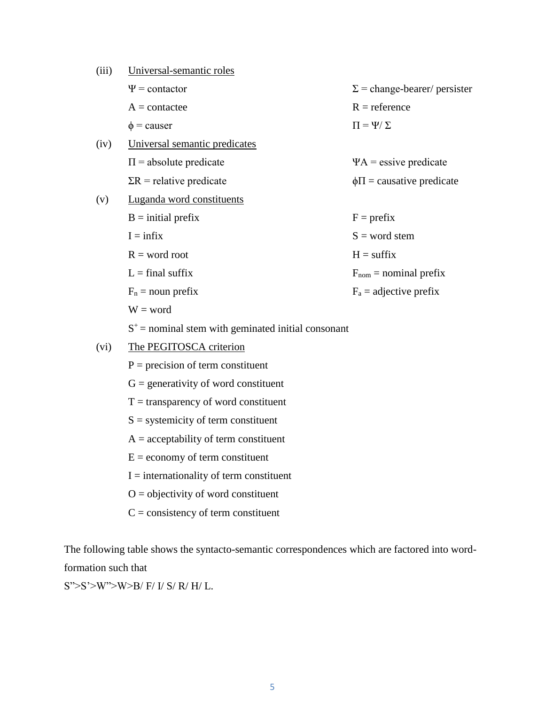| (iii) | Universal-semantic roles                              |                                     |
|-------|-------------------------------------------------------|-------------------------------------|
|       | $\Psi$ = contactor                                    | $\Sigma$ = change-bearer/ persister |
|       | $A = \text{contactee}$                                | $R = reference$                     |
|       | $\phi$ = causer                                       | $\Pi = \Psi / \Sigma$               |
| (iv)  | Universal semantic predicates                         |                                     |
|       | $\Pi$ = absolute predicate                            | $\Psi A$ = essive predicate         |
|       | $\Sigma$ R = relative predicate                       | $\phi \Pi$ = causative predicate    |
| (v)   | Luganda word constituents                             |                                     |
|       | $B = initial prefix$                                  | $F = prefix$                        |
|       | $I = \inf I$                                          | $S = word stem$                     |
|       | $R = word root$                                       | $H = suffix$                        |
|       | $L = final$ suffix                                    | $F_{nom}$ = nominal prefix          |
|       | $F_n$ = noun prefix                                   | $F_a$ = adjective prefix            |
|       | $W = word$                                            |                                     |
|       | $S^+$ = nominal stem with geminated initial consonant |                                     |
| (vi)  | The PEGITOSCA criterion                               |                                     |
|       | $P = precision of term constituent$                   |                                     |
|       | $G =$ generativity of word constituent                |                                     |

- $T =$  transparency of word constituent
- S = systemicity of term constituent
- $A =$  acceptability of term constituent
- $E =$  economy of term constituent
- $I =$  internationality of term constituent
- $O =$  objectivity of word constituent
- $C =$  consistency of term constituent

The following table shows the syntacto-semantic correspondences which are factored into wordformation such that

S">S'>W">W>B/ F/ I/ S/ R/ H/ L.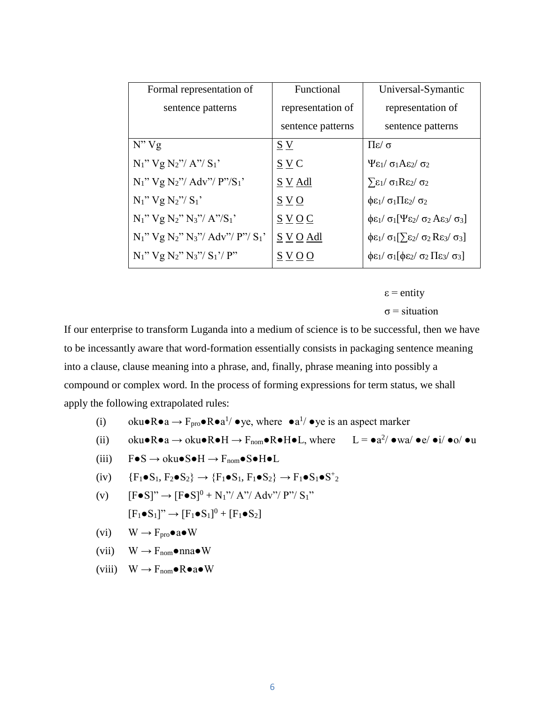| Formal representation of                       | Functional        | Universal-Symantic                                                                                          |
|------------------------------------------------|-------------------|-------------------------------------------------------------------------------------------------------------|
| sentence patterns                              | representation of | representation of                                                                                           |
|                                                | sentence patterns | sentence patterns                                                                                           |
| N''Vg                                          | S V               | $\frac{\pi}{2}$ Πε/ σ                                                                                       |
| $N_1$ " $Vg N_2$ "/ $A$ "/ $S_1$ "             | $S \vee C$        | $\Psi$ ει/ σιΑε2/ σ2                                                                                        |
| $N_1$ " $Vg N_2$ "/ Adv"/ $P$ "/ $S_1$ "       | $S \times Adl$    | $\Sigma_{\epsilon_1}/\sigma_1R\epsilon_2/\sigma_2$                                                          |
| $N_1$ " $Vg N_2$ "/ $S_1$ "                    | S V O             | $\phi \epsilon_1 / \sigma_1 \Pi \epsilon_2 / \sigma_2$                                                      |
| $N_1$ " $Vg N_2$ " $N_3$ "/ $A$ "/ $S_1$ "     | SVOC              | $\oint \mathcal{E}_1 / \sigma_1 [\Psi \mathcal{E}_2 / \sigma_2 A \mathcal{E}_3 / \sigma_3]$                 |
| $N_1$ " $Vg N_2$ " $N_3$ "/ $Adv''/ P''/ S_1'$ | S V O Adl         | $\oint \mathcal{E}_1 / \sigma_1 [\sum \varepsilon_2 / \sigma_2 \operatorname{Re} \varepsilon_3 / \sigma_3]$ |
| $N_1$ " $Vg N_2$ " $N_3$ "/ $S_1$ '/ $P$ "     | S V O O           | $\oint \mathcal{E}_1 / \sigma_1 [\oint \mathcal{E}_2 / \sigma_2 \Pi \mathcal{E}_3 / \sigma_3]$              |

 $\varepsilon$  = entity

 $\sigma$  = situation

If our enterprise to transform Luganda into a medium of science is to be successful, then we have to be incessantly aware that word-formation essentially consists in packaging sentence meaning into a clause, clause meaning into a phrase, and, finally, phrase meaning into possibly a compound or complex word. In the process of forming expressions for term status, we shall apply the following extrapolated rules:

- (i) oku $\bullet \mathbb{R} \bullet a \to \mathbb{F}_{\text{pro}} \bullet \mathbb{R} \bullet a^1$  /  $\bullet$  ye, where  $\bullet a^1$  /  $\bullet$  ye is an aspect marker
- (ii) oku $\bullet \mathsf{R} \bullet a \to \mathsf{oku} \bullet \mathsf{R} \bullet \mathsf{H} \to \mathsf{F}_{\text{nom}} \bullet \mathsf{R} \bullet \mathsf{H} \bullet \mathsf{L}$ , where  $\qquad \mathsf{L} = \bullet a^2 / \bullet wa / \bullet e / \bullet i / \bullet o / \bullet u$
- (iii)  $F \bullet S \rightarrow \text{oku} \bullet S \bullet H \rightarrow F_{\text{nom}} \bullet S \bullet H \bullet L$
- (iv)  ${F_1 \bullet S_1, F_2 \bullet S_2} \rightarrow {F_1 \bullet S_1, F_1 \bullet S_2} \rightarrow F_1 \bullet S_1 \bullet S^+{}_2$
- (v)  $[FeS]'' \rightarrow [FeS]^{0} + N_{1}"/ A" / Adv''/ P" / S_{1}"$  $[F_1 \bullet S_1] \rightarrow [F_1 \bullet S_1]^0 + [F_1 \bullet S_2]$
- $(vi)$  W  $\rightarrow$   $F_{\text{pro}} \bullet$  a $\bullet$  W
- (vii)  $W \to F_{\text{nom}} \bullet \text{ nna} \bullet W$
- (viii)  $W \to F_{\text{nom}} \bullet \mathbf{R} \bullet a \bullet W$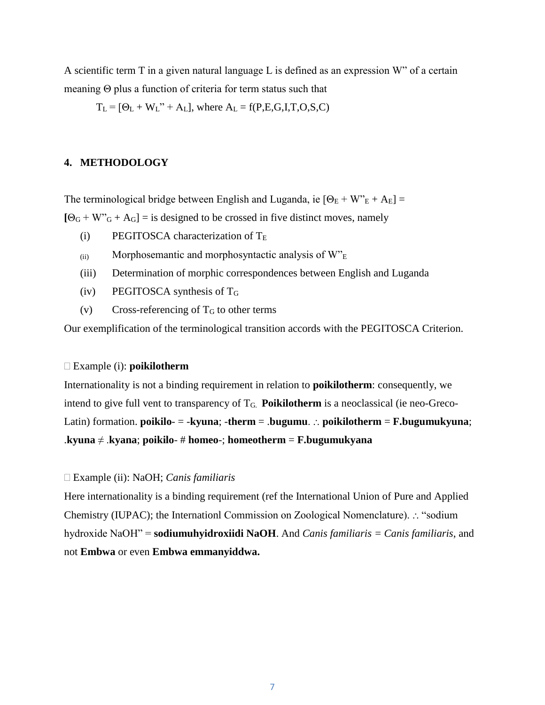A scientific term T in a given natural language L is defined as an expression W" of a certain meaning Θ plus a function of criteria for term status such that

 $T_L = [\Theta_L + W_L" + A_L]$ , where  $A_L = f(P, E, G, I, T, O, S, C)$ 

### **4. METHODOLOGY**

The terminological bridge between English and Luganda, ie  $[\Theta_E + W_E^* + A_E] =$ 

 $[Θ<sub>G</sub> + W<sup>o</sup><sub>G</sub> + A<sub>G</sub>]$  = is designed to be crossed in five distinct moves, namely

- (i) PEGITOSCA characterization of  $T_E$
- $(iii)$  Morphosemantic and morphosyntactic analysis of  $W_{\text{E}}$
- (iii) Determination of morphic correspondences between English and Luganda
- (iv) PEGITOSCA synthesis of T<sup>G</sup>
- (v) Cross-referencing of  $T<sub>G</sub>$  to other terms

Our exemplification of the terminological transition accords with the PEGITOSCA Criterion.

#### Example (i): **poikilotherm**

Internationality is not a binding requirement in relation to **poikilotherm**: consequently, we intend to give full vent to transparency of TG. **Poikilotherm** is a neoclassical (ie neo-Greco-Latin) formation. **poikilo-** =  $-k$ vuna;  $-$ **therm** =  $\lambda$ **pugumu**.  $\therefore$  **poikilotherm** = **F.bugumukyuna**; .**kyuna** ≠ .**kyana**; **poikilo**- # **homeo**-; **homeotherm** = **F.bugumukyana**

#### Example (ii): NaOH; *Canis familiaris*

Here internationality is a binding requirement (ref the International Union of Pure and Applied Chemistry (IUPAC); the Internationl Commission on Zoological Nomenclature).  $\therefore$  "sodium hydroxide NaOH" = **sodiumuhyidroxiidi NaOH**. And *Canis familiaris = Canis familiaris*, and not **Embwa** or even **Embwa emmanyiddwa.**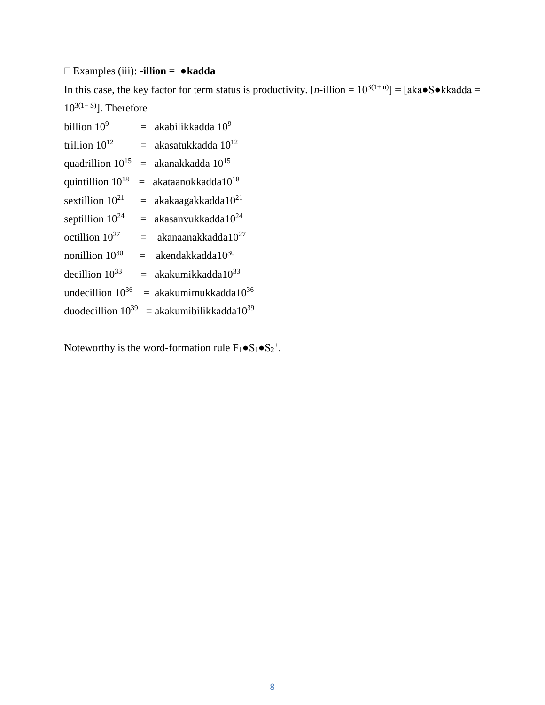# Examples (iii): -**illion =** ●**kadda**

In this case, the key factor for term status is productivity.  $[n$ -illion =  $10^{3(1+n)}$ ] =  $[aka \bullet S \bullet kkadda =$  $10^{3(1+ S)}$ ]. Therefore

| billion $109$                |         | $=$ akabilikkadda 10 <sup>9</sup>     |
|------------------------------|---------|---------------------------------------|
| trillion $10^{12}$           |         | $=$ akasatukkadda 10 <sup>12</sup>    |
| quadrillion 10 <sup>15</sup> |         | $=$ akanakkadda 10 <sup>15</sup>      |
| quintillion $10^{18}$        |         | $=$ akataanokkadda10 <sup>18</sup>    |
| sextillion $10^{21}$         |         | $=$ akakaagakkadda10 <sup>21</sup>    |
| septillion $10^{24}$         |         | $=$ akasanvukkadda10 <sup>24</sup>    |
| octillion $10^{27}$          | $=$     | akanaanakkadda10 <sup>27</sup>        |
| nonillion 10 <sup>30</sup>   | $=$ $-$ | akendakkadda1030                      |
| decillion $10^{33}$          |         | $=$ akakumikkadda10 <sup>33</sup>     |
| undecillion $10^{36}$        |         | $=$ akakumimukkadda10 <sup>36</sup>   |
| duodecillion $10^{39}$       |         | $=$ akakumibilikkadda10 <sup>39</sup> |

Noteworthy is the word-formation rule  $F_1 \bullet S_1 \bullet S_2^+$ .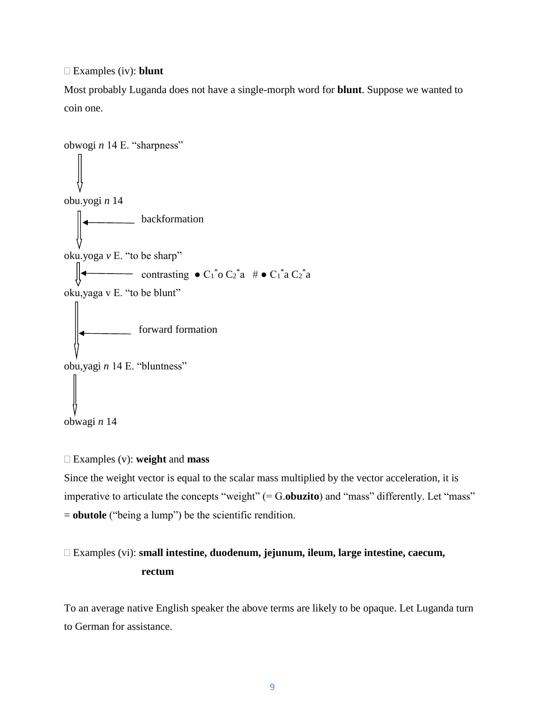Examples (iv): **blunt**

Most probably Luganda does not have a single-morph word for **blunt**. Suppose we wanted to coin one.

```
obwogi n 14 E. "sharpness"
obu.yogi n 14
          backformation
oku.yoga v E. "to be sharp"
\blacksquare contrasting \bullet C<sub>1</sub><sup>*</sup>o C<sub>2</sub><sup>*</sup>a # \bullet C<sub>1</sub><sup>*</sup>a C<sub>2</sub><sup>*</sup>a
oku,yaga v E. "to be blunt"
          forward formation
obu,yagi n 14 E. "bluntness"
obwagi n 14
```
#### Examples (v): **weight** and **mass**

Since the weight vector is equal to the scalar mass multiplied by the vector acceleration, it is imperative to articulate the concepts "weight" (= G.**obuzito**) and "mass" differently. Let "mass" = **obutole** ("being a lump") be the scientific rendition.

## Examples (vi): **small intestine, duodenum, jejunum, ileum, large intestine, caecum, rectum**

To an average native English speaker the above terms are likely to be opaque. Let Luganda turn to German for assistance.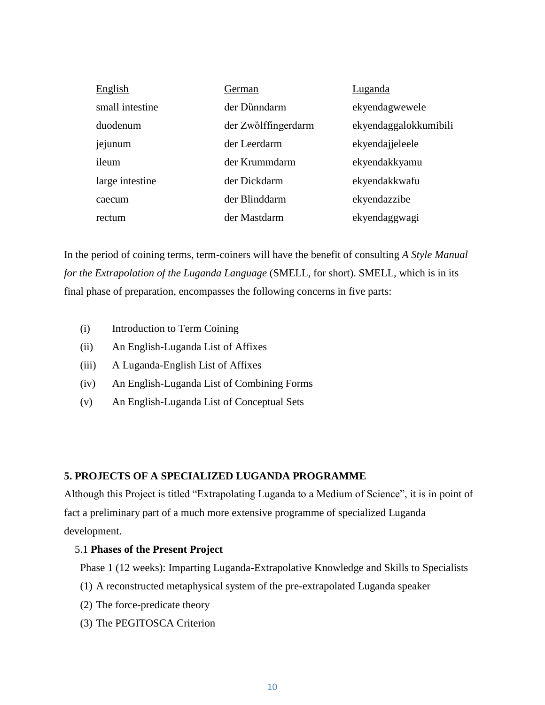| English         | German              | Luganda               |
|-----------------|---------------------|-----------------------|
| small intestine | der Dünndarm        | ekyendagwewele        |
| duodenum        | der Zwölffingerdarm | ekyendaggalokkumibili |
| jejunum         | der Leerdarm        | ekyendajjeleele       |
| ileum           | der Krummdarm       | ekyendakkyamu         |
| large intestine | der Dickdarm        | ekyendakkwafu         |
| caecum          | der Blinddarm       | ekyendazzibe          |
| rectum          | der Mastdarm        | ekyendaggwagi         |

In the period of coining terms, term-coiners will have the benefit of consulting *A Style Manual for the Extrapolation of the Luganda Language* (SMELL, for short). SMELL, which is in its final phase of preparation, encompasses the following concerns in five parts:

- (i) Introduction to Term Coining
- (ii) An English-Luganda List of Affixes
- (iii) A Luganda-English List of Affixes
- (iv) An English-Luganda List of Combining Forms
- (v) An English-Luganda List of Conceptual Sets

## **5. PROJECTS OF A SPECIALIZED LUGANDA PROGRAMME**

Although this Project is titled "Extrapolating Luganda to a Medium of Science", it is in point of fact a preliminary part of a much more extensive programme of specialized Luganda development.

### 5.1 **Phases of the Present Project**

Phase 1 (12 weeks): Imparting Luganda-Extrapolative Knowledge and Skills to Specialists

- (1) A reconstructed metaphysical system of the pre-extrapolated Luganda speaker
- (2) The force-predicate theory
- (3) The PEGITOSCA Criterion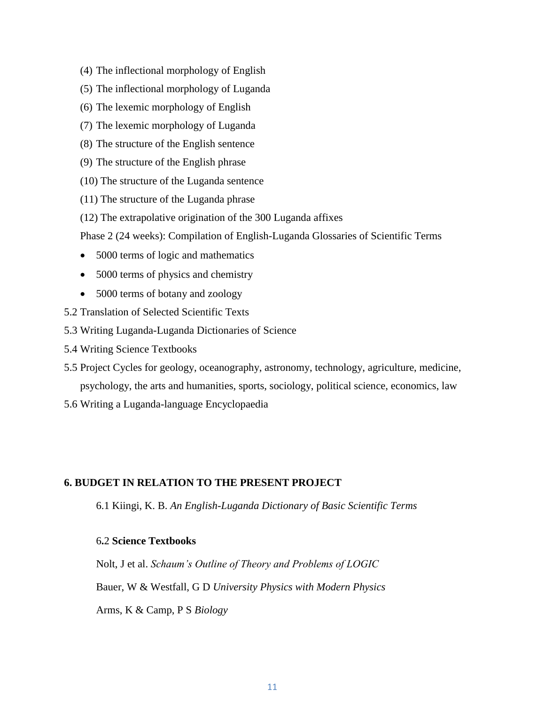- (4) The inflectional morphology of English
- (5) The inflectional morphology of Luganda
- (6) The lexemic morphology of English
- (7) The lexemic morphology of Luganda
- (8) The structure of the English sentence
- (9) The structure of the English phrase
- (10) The structure of the Luganda sentence
- (11) The structure of the Luganda phrase
- (12) The extrapolative origination of the 300 Luganda affixes
- Phase 2 (24 weeks): Compilation of English-Luganda Glossaries of Scientific Terms
- 5000 terms of logic and mathematics
- 5000 terms of physics and chemistry
- 5000 terms of botany and zoology
- 5.2 Translation of Selected Scientific Texts
- 5.3 Writing Luganda-Luganda Dictionaries of Science
- 5.4 Writing Science Textbooks
- 5.5 Project Cycles for geology, oceanography, astronomy, technology, agriculture, medicine, psychology, the arts and humanities, sports, sociology, political science, economics, law
- 5.6 Writing a Luganda-language Encyclopaedia

### **6. BUDGET IN RELATION TO THE PRESENT PROJECT**

6.1 Kiingi, K. B. *An English-Luganda Dictionary of Basic Scientific Terms* 

## 6**.**2 **Science Textbooks**

Nolt, J et al. *Schaum's Outline of Theory and Problems of LOGIC*

Bauer, W & Westfall, G D *University Physics with Modern Physics*

Arms, K & Camp, P S *Biology*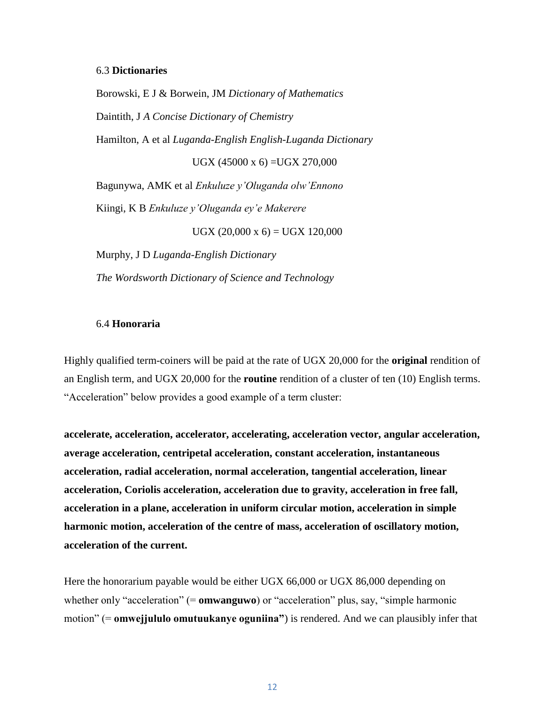#### 6.3 **Dictionaries**

Borowski, E J & Borwein, JM *Dictionary of Mathematics* Daintith, J *A Concise Dictionary of Chemistry* Hamilton, A et al *Luganda-English English-Luganda Dictionary* UGX (45000 x 6) =UGX 270,000 Bagunywa, AMK et al *Enkuluze y'Oluganda olw'Ennono*  Kiingi, K B *Enkuluze y'Oluganda ey'e Makerere*  $UGX (20,000 \times 6) = UGX 120,000$ 

Murphy, J D *Luganda-English Dictionary The Wordsworth Dictionary of Science and Technology*

## 6.4 **Honoraria**

Highly qualified term-coiners will be paid at the rate of UGX 20,000 for the **original** rendition of an English term, and UGX 20,000 for the **routine** rendition of a cluster of ten (10) English terms. "Acceleration" below provides a good example of a term cluster:

**accelerate, acceleration, accelerator, accelerating, acceleration vector, angular acceleration, average acceleration, centripetal acceleration, constant acceleration, instantaneous acceleration, radial acceleration, normal acceleration, tangential acceleration, linear acceleration, Coriolis acceleration, acceleration due to gravity, acceleration in free fall, acceleration in a plane, acceleration in uniform circular motion, acceleration in simple harmonic motion, acceleration of the centre of mass, acceleration of oscillatory motion, acceleration of the current.** 

Here the honorarium payable would be either UGX 66,000 or UGX 86,000 depending on whether only "acceleration" (= **omwanguwo**) or "acceleration" plus, say, "simple harmonic motion" (= **omwejjululo omutuukanye oguniina"**) is rendered. And we can plausibly infer that